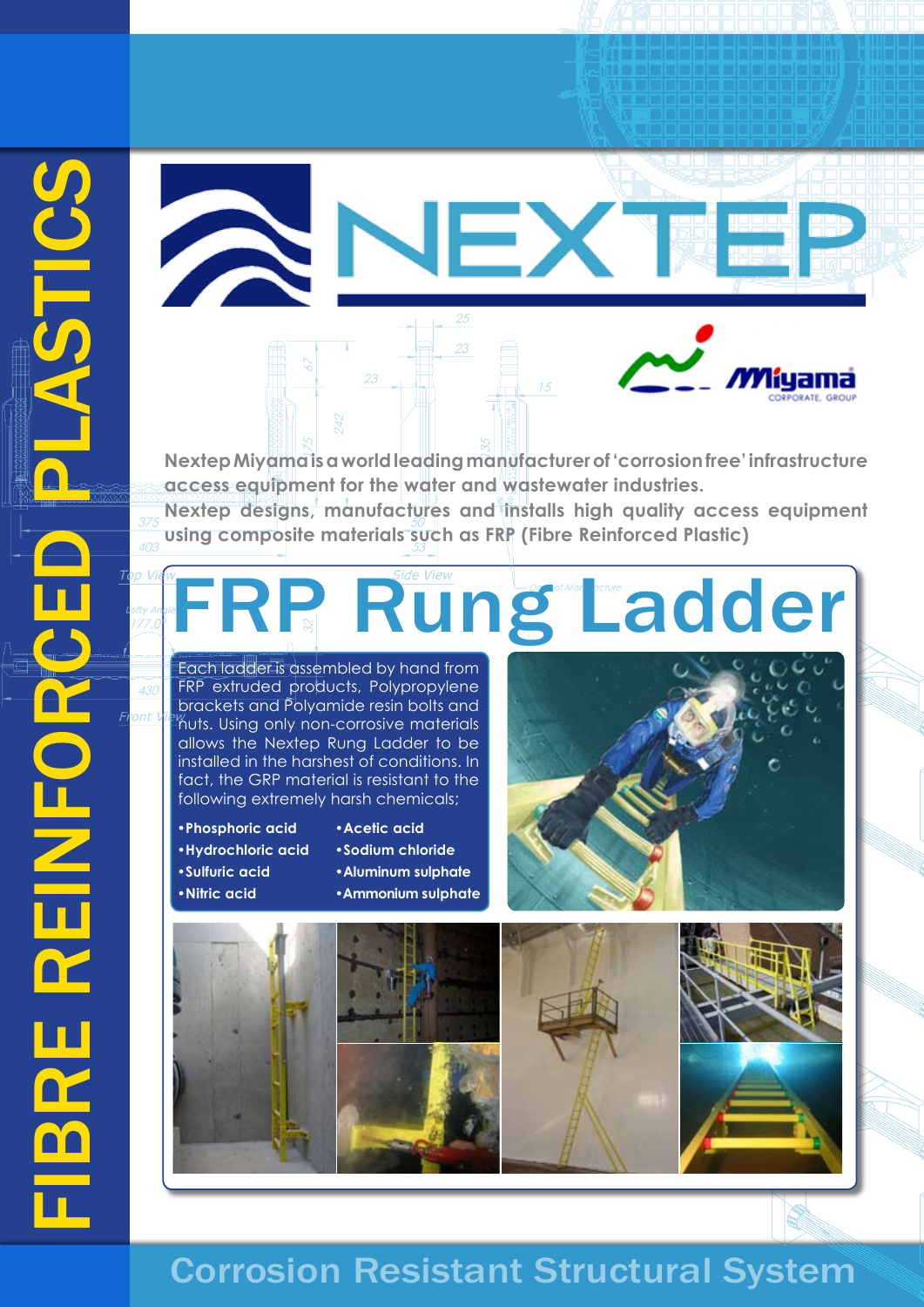

**access equipment for the water and wastewater industries. Nextep designs, manufactures and installs high quality access equipment using composite materials such as FRP (Fibre Reinforced Plastic)**

# FRP Rung Ladder

Each ladder is assembled by hand from FRP extruded products, Polypropylene brackets and Polyamide resin bolts and  $^{\prime\prime}$ huts. Using only non-corrosive materials allows the Nextep Rung Ladder to be installed in the harshest of conditions. In fact, the GRP material is resistant to the following extremely harsh chemicals;

- **•Phosphoric acid •Hydrochloric acid •Sulfuric acid •Nitric acid**
- **•Acetic acid**
- **•Sodium chloride**
- **•Aluminum sulphate**
- **•Ammonium sulphate**





## Corrosion Resistant Structural System